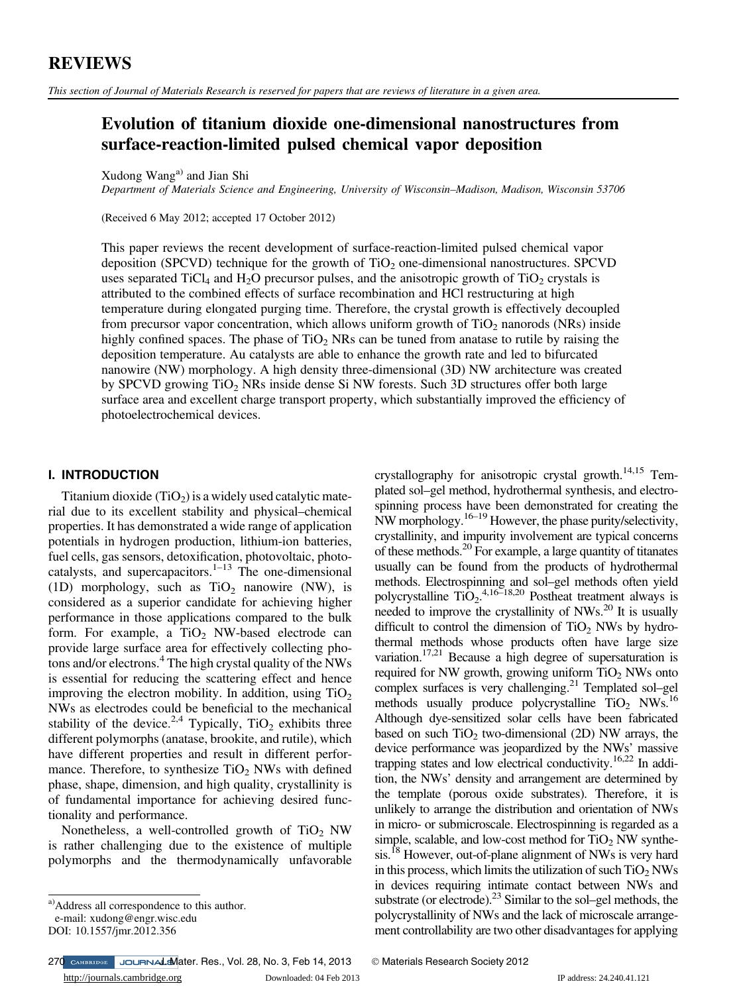#### REVIEWS

This section of Journal of Materials Research is reserved for papers that are reviews of literature in a given area.

#### Evolution of titanium dioxide one-dimensional nanostructures from surface-reaction-limited pulsed chemical vapor deposition

Xudong Wang<sup>a)</sup> and Jian Shi

Department of Materials Science and Engineering, University of Wisconsin–Madison, Madison, Wisconsin 53706

(Received 6 May 2012; accepted 17 October 2012)

This paper reviews the recent development of surface-reaction-limited pulsed chemical vapor deposition (SPCVD) technique for the growth of TiO<sub>2</sub> one-dimensional nanostructures. SPCVD uses separated TiCl<sub>4</sub> and H<sub>2</sub>O precursor pulses, and the anisotropic growth of TiO<sub>2</sub> crystals is attributed to the combined effects of surface recombination and HCl restructuring at high temperature during elongated purging time. Therefore, the crystal growth is effectively decoupled from precursor vapor concentration, which allows uniform growth of  $TiO<sub>2</sub>$  nanorods (NRs) inside highly confined spaces. The phase of  $TiO<sub>2</sub>$  NRs can be tuned from anatase to rutile by raising the deposition temperature. Au catalysts are able to enhance the growth rate and led to bifurcated nanowire (NW) morphology. A high density three-dimensional (3D) NW architecture was created by SPCVD growing  $TiO<sub>2</sub>$  NRs inside dense Si NW forests. Such 3D structures offer both large surface area and excellent charge transport property, which substantially improved the efficiency of photoelectrochemical devices.

# I. INTRODUCTION

Titanium dioxide  $(TiO_2)$  is a widely used catalytic material due to its excellent stability and physical–chemical properties. It has demonstrated a wide range of application potentials in hydrogen production, lithium-ion batteries, fuel cells, gas sensors, detoxification, photovoltaic, photocatalysts, and supercapacitors.<sup>1–13</sup> The one-dimensional (1D) morphology, such as  $TiO<sub>2</sub>$  nanowire (NW), is considered as a superior candidate for achieving higher performance in those applications compared to the bulk form. For example, a  $TiO<sub>2</sub>$  NW-based electrode can provide large surface area for effectively collecting photons and/or electrons.<sup>4</sup> The high crystal quality of the NWs is essential for reducing the scattering effect and hence improving the electron mobility. In addition, using  $TiO<sub>2</sub>$ NWs as electrodes could be beneficial to the mechanical stability of the device.<sup>2,4</sup> Typically, TiO<sub>2</sub> exhibits three different polymorphs (anatase, brookite, and rutile), which have different properties and result in different performance. Therefore, to synthesize  $TiO<sub>2</sub>$  NWs with defined phase, shape, dimension, and high quality, crystallinity is of fundamental importance for achieving desired functionality and performance.

Nonetheless, a well-controlled growth of  $TiO<sub>2</sub> NW$ is rather challenging due to the existence of multiple polymorphs and the thermodynamically unfavorable

<http://journals.cambridge.org> Downloaded: 04 Feb 2013 IP address: 24.240.41.121 270 CAMBRIDGE JOURNALEMater. Res., Vol. 28, No. 3, Feb 14, 2013 C Materials Research Society 2012

crystallography for anisotropic crystal growth.14,15 Templated sol–gel method, hydrothermal synthesis, and electrospinning process have been demonstrated for creating the NW morphology.16–<sup>19</sup> However, the phase purity/selectivity, crystallinity, and impurity involvement are typical concerns of these methods.20 For example, a large quantity of titanates usually can be found from the products of hydrothermal methods. Electrospinning and sol–gel methods often yield polycrystalline  $\text{TiO}_2$ .<sup>4,16–18,20</sup> Postheat treatment always is needed to improve the crystallinity of NWs.<sup>20</sup> It is usually difficult to control the dimension of  $TiO<sub>2</sub>$  NWs by hydrothermal methods whose products often have large size variation.<sup>17,21</sup> Because a high degree of supersaturation is required for NW growth, growing uniform  $TiO<sub>2</sub>$  NWs onto complex surfaces is very challenging.<sup>21</sup> Templated sol–gel methods usually produce polycrystalline  $TiO<sub>2</sub>$  NWs.<sup>16</sup> Although dye-sensitized solar cells have been fabricated based on such  $TiO<sub>2</sub>$  two-dimensional (2D) NW arrays, the device performance was jeopardized by the NWs' massive trapping states and low electrical conductivity.16,22 In addition, the NWs' density and arrangement are determined by the template (porous oxide substrates). Therefore, it is unlikely to arrange the distribution and orientation of NWs in micro- or submicroscale. Electrospinning is regarded as a simple, scalable, and low-cost method for  $TiO<sub>2</sub> NW$  synthesis.<sup>18</sup> However, out-of-plane alignment of NWs is very hard in this process, which limits the utilization of such  $TiO<sub>2</sub> NWs$ in devices requiring intimate contact between NWs and substrate (or electrode).23 Similar to the sol–gel methods, the polycrystallinity of NWs and the lack of microscale arrangement controllability are two other disadvantages for applying

a)Address all correspondence to this author.

e-mail: xudong@engr.wisc.edu

DOI: 10.1557/jmr.2012.356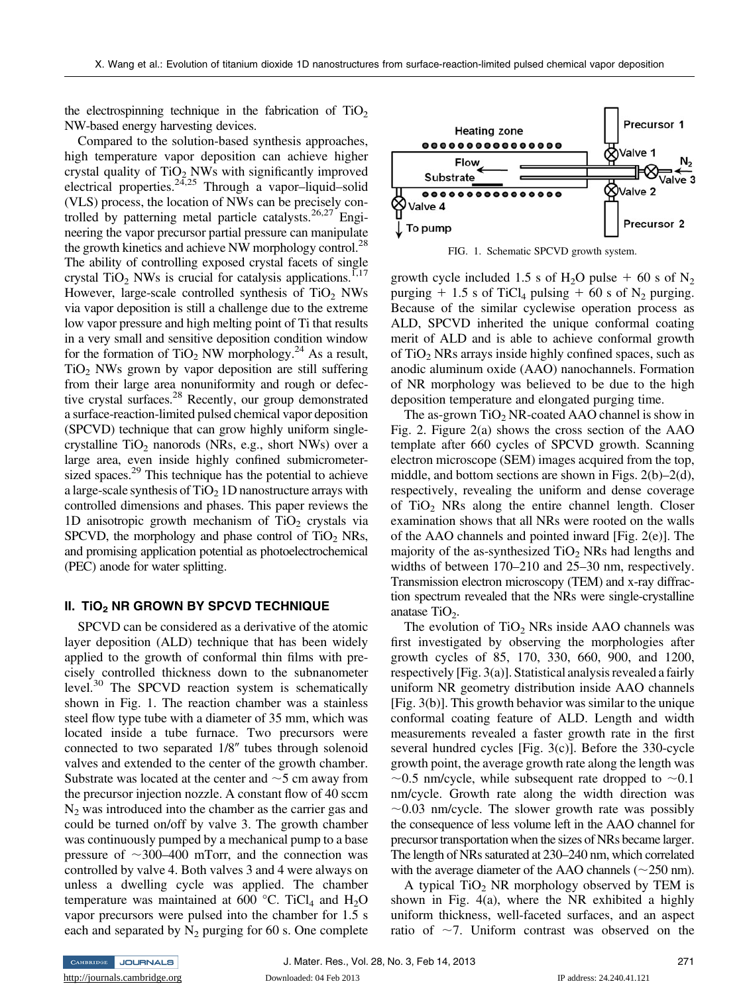the electrospinning technique in the fabrication of  $TiO<sub>2</sub>$ NW-based energy harvesting devices.

Compared to the solution-based synthesis approaches, high temperature vapor deposition can achieve higher crystal quality of  $TiO<sub>2</sub>$  NWs with significantly improved electrical properties. $24.25$  Through a vapor–liquid–solid (VLS) process, the location of NWs can be precisely controlled by patterning metal particle catalysts.<sup>26,27</sup> Engineering the vapor precursor partial pressure can manipulate the growth kinetics and achieve NW morphology control.<sup>28</sup> The ability of controlling exposed crystal facets of single crystal TiO<sub>2</sub> NWs is crucial for catalysis applications.<sup>1,17</sup> However, large-scale controlled synthesis of  $TiO<sub>2</sub>$  NWs via vapor deposition is still a challenge due to the extreme low vapor pressure and high melting point of Ti that results in a very small and sensitive deposition condition window for the formation of TiO<sub>2</sub> NW morphology.<sup>24</sup> As a result,  $TiO<sub>2</sub>$  NWs grown by vapor deposition are still suffering from their large area nonuniformity and rough or defective crystal surfaces.<sup>28</sup> Recently, our group demonstrated a surface-reaction-limited pulsed chemical vapor deposition (SPCVD) technique that can grow highly uniform singlecrystalline  $TiO<sub>2</sub>$  nanorods (NRs, e.g., short NWs) over a large area, even inside highly confined submicrometersized spaces.<sup>29</sup> This technique has the potential to achieve a large-scale synthesis of  $TiO<sub>2</sub> 1D$  nanostructure arrays with controlled dimensions and phases. This paper reviews the 1D anisotropic growth mechanism of  $TiO<sub>2</sub>$  crystals via SPCVD, the morphology and phase control of  $TiO<sub>2</sub>$  NRs, and promising application potential as photoelectrochemical (PEC) anode for water splitting.

# II. TiO2 NR GROWN BY SPCVD TECHNIQUE TECHNIQUE TECHNIQUE TECHNIQUE TECHNIQUE TECHNIQUE TECHNIQUE TECHNIQUE TEC<br>De la production de la production de la production de la production de la production de la production de la pr

SPCVD can be considered as a derivative of the atomic layer deposition (ALD) technique that has been widely applied to the growth of conformal thin films with precisely controlled thickness down to the subnanometer level.<sup>30</sup> The SPCVD reaction system is schematically shown in Fig. 1. The reaction chamber was a stainless steel flow type tube with a diameter of 35 mm, which was located inside a tube furnace. Two precursors were connected to two separated  $1/8$ " tubes through solenoid valves and extended to the center of the growth chamber. Substrate was located at the center and  $\sim$  5 cm away from the precursor injection nozzle. A constant flow of 40 sccm  $N_2$  was introduced into the chamber as the carrier gas and could be turned on/off by valve 3. The growth chamber was continuously pumped by a mechanical pump to a base pressure of  $\sim$ 300–400 mTorr, and the connection was controlled by valve 4. Both valves 3 and 4 were always on unless a dwelling cycle was applied. The chamber temperature was maintained at 600 °C. TiCl<sub>4</sub> and H<sub>2</sub>O vapor precursors were pulsed into the chamber for 1.5 s each and separated by  $N_2$  purging for 60 s. One complete



FIG. 1. Schematic SPCVD growth system.

growth cycle included 1.5 s of H<sub>2</sub>O pulse  $+$  60 s of N<sub>2</sub> purging  $+ 1.5$  s of TiCl<sub>4</sub> pulsing  $+ 60$  s of N<sub>2</sub> purging. Because of the similar cyclewise operation process as ALD, SPCVD inherited the unique conformal coating merit of ALD and is able to achieve conformal growth of  $TiO<sub>2</sub> NRs$  arrays inside highly confined spaces, such as anodic aluminum oxide (AAO) nanochannels. Formation of NR morphology was believed to be due to the high deposition temperature and elongated purging time.

The as-grown  $TiO<sub>2</sub> NR$ -coated AAO channel is show in Fig. 2. Figure 2(a) shows the cross section of the AAO template after 660 cycles of SPCVD growth. Scanning electron microscope (SEM) images acquired from the top, middle, and bottom sections are shown in Figs. 2(b)–2(d), respectively, revealing the uniform and dense coverage of  $TiO<sub>2</sub>$  NRs along the entire channel length. Closer examination shows that all NRs were rooted on the walls of the AAO channels and pointed inward [Fig. 2(e)]. The majority of the as-synthesized  $TiO<sub>2</sub>$  NRs had lengths and widths of between 170–210 and 25–30 nm, respectively. Transmission electron microscopy (TEM) and x-ray diffraction spectrum revealed that the NRs were single-crystalline anatase  $TiO<sub>2</sub>$ .

The evolution of  $TiO<sub>2</sub>$  NRs inside AAO channels was first investigated by observing the morphologies after growth cycles of 85, 170, 330, 660, 900, and 1200, respectively [Fig. 3(a)]. Statistical analysis revealed a fairly uniform NR geometry distribution inside AAO channels [Fig. 3(b)]. This growth behavior was similar to the unique conformal coating feature of ALD. Length and width measurements revealed a faster growth rate in the first several hundred cycles [Fig. 3(c)]. Before the 330-cycle growth point, the average growth rate along the length was  $\sim$ 0.5 nm/cycle, while subsequent rate dropped to  $\sim$ 0.1 nm/cycle. Growth rate along the width direction was  $\sim$ 0.03 nm/cycle. The slower growth rate was possibly the consequence of less volume left in the AAO channel for precursor transportation when the sizes of NRs became larger. The length of NRs saturated at 230–240 nm, which correlated with the average diameter of the AAO channels ( $\sim$ 250 nm).

A typical  $TiO<sub>2</sub> NR$  morphology observed by TEM is shown in Fig. 4(a), where the NR exhibited a highly uniform thickness, well-faceted surfaces, and an aspect ratio of  $\sim$ 7. Uniform contrast was observed on the

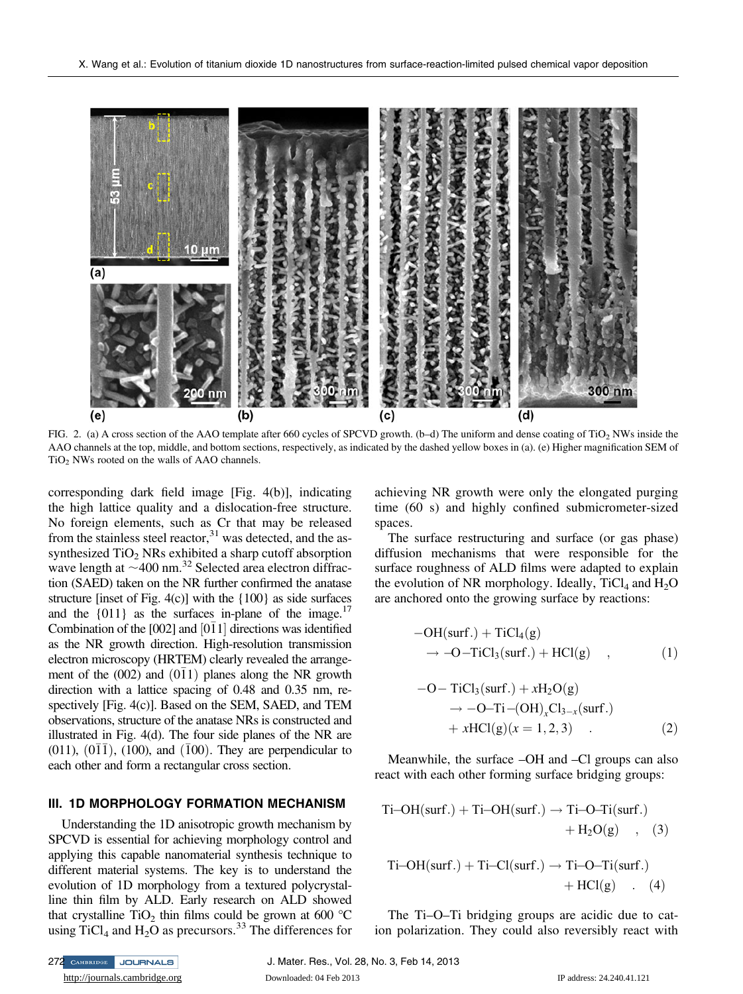

FIG. 2. (a) A cross section of the AAO template after 660 cycles of SPCVD growth. (b–d) The uniform and dense coating of TiO<sub>2</sub> NWs inside the AAO channels at the top, middle, and bottom sections, respectively, as indicated by the dashed yellow boxes in (a). (e) Higher magnification SEM of TiO<sub>2</sub> NWs rooted on the walls of AAO channels.

corresponding dark field image [Fig. 4(b)], indicating the high lattice quality and a dislocation-free structure. No foreign elements, such as Cr that may be released from the stainless steel reactor, $31$  was detected, and the assynthesized  $TiO<sub>2</sub>$  NRs exhibited a sharp cutoff absorption wave length at  $\sim$ 400 nm.<sup>32</sup> Selected area electron diffraction (SAED) taken on the NR further confirmed the anatase structure [inset of Fig. 4(c)] with the {100} as side surfaces and the  $\{011\}$  as the surfaces in-plane of the image.<sup>17</sup> Combination of the [002] and  $[0\bar{1}1]$  directions was identified as the NR growth direction. High-resolution transmission electron microscopy (HRTEM) clearly revealed the arrangement of the  $(002)$  and  $(011)$  planes along the NR growth direction with a lattice spacing of 0.48 and 0.35 nm, respectively [Fig. 4(c)]. Based on the SEM, SAED, and TEM observations, structure of the anatase NRs is constructed and illustrated in Fig. 4(d). The four side planes of the NR are  $(011)$ ,  $(011)$ ,  $(100)$ , and  $(100)$ . They are perpendicular to each other and form a rectangular cross section.

## III. 10 MORPHOLOGY FORMATION MECHANISM

Understanding the 1D anisotropic growth mechanism by SPCVD is essential for achieving morphology control and applying this capable nanomaterial synthesis technique to different material systems. The key is to understand the evolution of 1D morphology from a textured polycrystalline thin film by ALD. Early research on ALD showed that crystalline TiO<sub>2</sub> thin films could be grown at 600  $^{\circ}$ C using TiCl<sub>4</sub> and H<sub>2</sub>O as precursors.<sup>33</sup> The differences for achieving NR growth were only the elongated purging time (60 s) and highly confined submicrometer-sized spaces.

The surface restructuring and surface (or gas phase) diffusion mechanisms that were responsible for the surface roughness of ALD films were adapted to explain the evolution of NR morphology. Ideally,  $TiCl<sub>4</sub>$  and  $H<sub>2</sub>O$ are anchored onto the growing surface by reactions:

$$
-OH(surf.) + TiCl4(g)
$$
  
\n
$$
\rightarrow -O-TiCl3(surf.) + HCl(g) , \qquad (1)
$$

$$
-O-TiCl3(surf.) + xH2O(g)\n\rightarrow -O-Ti-(OH)xCl3-x(surf.)\n+ xHCl(g)(x = 1, 2, 3)
$$
\n(2)

Meanwhile, the surface –OH and –Cl groups can also react with each other forming surface bridging groups:

Ti–OH(surf.) + Ti–OH(surf.) 
$$
\rightarrow
$$
 Ti–O–Ti(surf.)  
+ H<sub>2</sub>O(g), (3)  
Ti–OH(surf.) + Ti–Cl(surf.)  $\rightarrow$  Ti–O–Ti(surf.)

$$
Ti-OH(surf.) + Ti-CI(surf.) \rightarrow Ti-O-Ti(surf.) + HCl(g) . (4)
$$

The Ti–O–Ti bridging groups are acidic due to cation polarization. They could also reversibly react with

<http://journals.cambridge.org> Downloaded: 04 Feb 2013 IP address: 24.240.41.121 272 CAMBRIDGE JOURNALS J. Mater. Res., Vol. 28, No. 3, Feb 14, 2013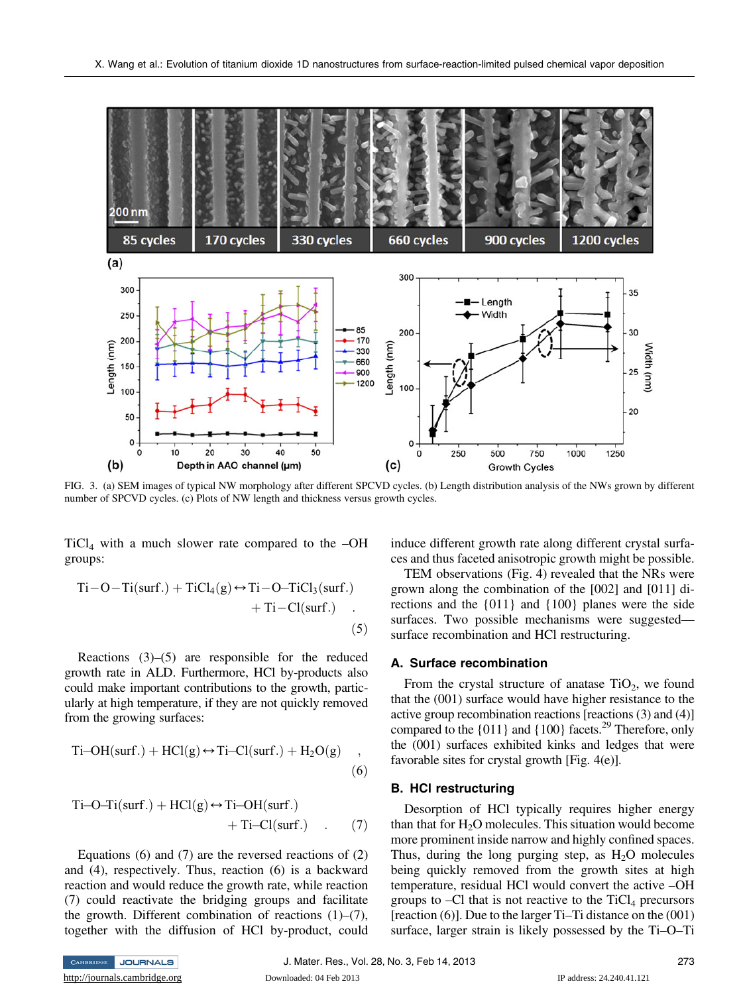

FIG. 3. (a) SEM images of typical NW morphology after different SPCVD cycles. (b) Length distribution analysis of the NWs grown by different number of SPCVD cycles. (c) Plots of NW length and thickness versus growth cycles.

 $TiCl<sub>4</sub>$  with a much slower rate compared to the  $-OH$ groups:

$$
Ti-O-Ti(surf.) + TiCl4(g) \leftrightarrow Ti-O-TiCl3(surf.) + Ti-Cl(surf.)
$$
 (5)

Reactions  $(3)$ – $(5)$  are responsible for the reduced growth rate in ALD. Furthermore, HCl by-products also could make important contributions to the growth, particularly at high temperature, if they are not quickly removed from the growing surfaces:

$$
Ti-OH(surf.) + HCl(g) \leftrightarrow Ti-CI(surf.) + H_2O(g) ,
$$
\n(6)

$$
Ti-O-Ti(surf.) + HCl(g) \leftrightarrow Ti-OH(surf.) + Ti-Cl(surf.)
$$
 (7)

Equations  $(6)$  and  $(7)$  are the reversed reactions of  $(2)$ and (4), respectively. Thus, reaction (6) is a backward reaction and would reduce the growth rate, while reaction (7) could reactivate the bridging groups and facilitate the growth. Different combination of reactions  $(1)$ – $(7)$ , together with the diffusion of HCl by-product, could induce different growth rate along different crystal surfaces and thus faceted anisotropic growth might be possible.

TEM observations (Fig. 4) revealed that the NRs were grown along the combination of the [002] and [011] directions and the {011} and {100} planes were the side surfaces. Two possible mechanisms were suggested surface recombination and HCl restructuring.

#### A. Surface recombination A. Surface recombination

From the crystal structure of anatase  $TiO<sub>2</sub>$ , we found that the (001) surface would have higher resistance to the active group recombination reactions [reactions (3) and (4)] compared to the  $\{011\}$  and  $\{100\}$  facets.<sup>29</sup> Therefore, only the (001) surfaces exhibited kinks and ledges that were favorable sites for crystal growth [Fig. 4(e)].

## B. HCl restructuring

Desorption of HCl typically requires higher energy than that for  $H_2O$  molecules. This situation would become more prominent inside narrow and highly confined spaces. Thus, during the long purging step, as  $H<sub>2</sub>O$  molecules being quickly removed from the growth sites at high temperature, residual HCl would convert the active –OH groups to  $-Cl$  that is not reactive to the  $TiCl<sub>4</sub>$  precursors [reaction (6)]. Due to the larger Ti–Ti distance on the (001) surface, larger strain is likely possessed by the Ti–O–Ti

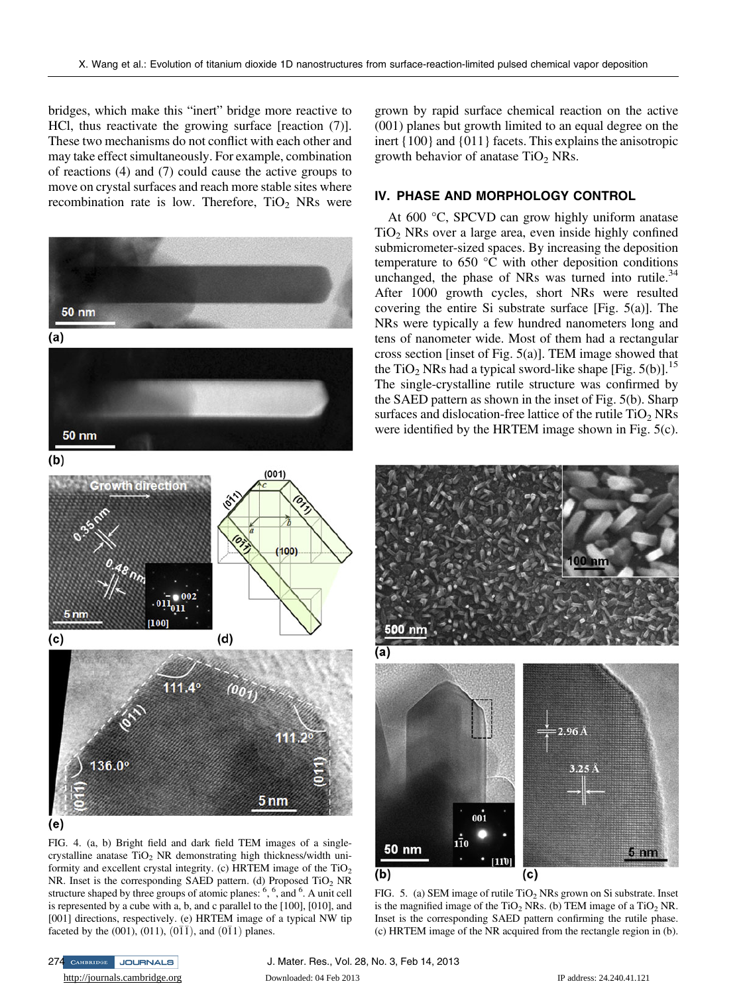bridges, which make this "inert" bridge more reactive to HCl, thus reactivate the growing surface [reaction (7)]. These two mechanisms do not conflict with each other and may take effect simultaneously. For example, combination of reactions (4) and (7) could cause the active groups to move on crystal surfaces and reach more stable sites where recombination rate is low. Therefore,  $TiO<sub>2</sub>$  NRs were



FIG. 4. (a, b) Bright field and dark field TEM images of a singlecrystalline anatase  $TiO<sub>2</sub> NR$  demonstrating high thickness/width uniformity and excellent crystal integrity. (c) HRTEM image of the  $TiO<sub>2</sub>$ NR. Inset is the corresponding SAED pattern. (d) Proposed  $TiO<sub>2</sub>$  NR structure shaped by three groups of atomic planes:  $\frac{6}{7}$ ,  $\frac{6}{7}$ , and  $\frac{6}{7}$ . A unit cell is represented by a cube with a, b, and c parallel to the [100], [010], and [001] directions, respectively. (e) HRTEM image of a typical NW tip faceted by the (001), (011), (0 $\overline{11}$ ), and (0 $\overline{11}$ ) planes.

grown by rapid surface chemical reaction on the active (001) planes but growth limited to an equal degree on the inert {100} and {011} facets. This explains the anisotropic growth behavior of anatase  $TiO<sub>2</sub>$  NRs.

# IV. PHASE AND MORPHOLOGY CONTROL.

At 600 °C, SPCVD can grow highly uniform anatase  $TiO<sub>2</sub>$  NRs over a large area, even inside highly confined submicrometer-sized spaces. By increasing the deposition temperature to 650 °C with other deposition conditions unchanged, the phase of NRs was turned into rutile. $34$ After 1000 growth cycles, short NRs were resulted covering the entire Si substrate surface [Fig. 5(a)]. The NRs were typically a few hundred nanometers long and tens of nanometer wide. Most of them had a rectangular cross section [inset of Fig. 5(a)]. TEM image showed that the TiO<sub>2</sub> NRs had a typical sword-like shape [Fig. 5(b)].<sup>15</sup> The single-crystalline rutile structure was confirmed by the SAED pattern as shown in the inset of Fig. 5(b). Sharp surfaces and dislocation-free lattice of the rutile  $TiO<sub>2</sub> NRs$ were identified by the HRTEM image shown in Fig. 5(c).



FIG. 5. (a) SEM image of rutile  $TiO<sub>2</sub>$  NRs grown on Si substrate. Inset is the magnified image of the  $TiO<sub>2</sub> NRs$ . (b) TEM image of a  $TiO<sub>2</sub> NR$ . Inset is the corresponding SAED pattern confirming the rutile phase. (c) HRTEM image of the NR acquired from the rectangle region in (b).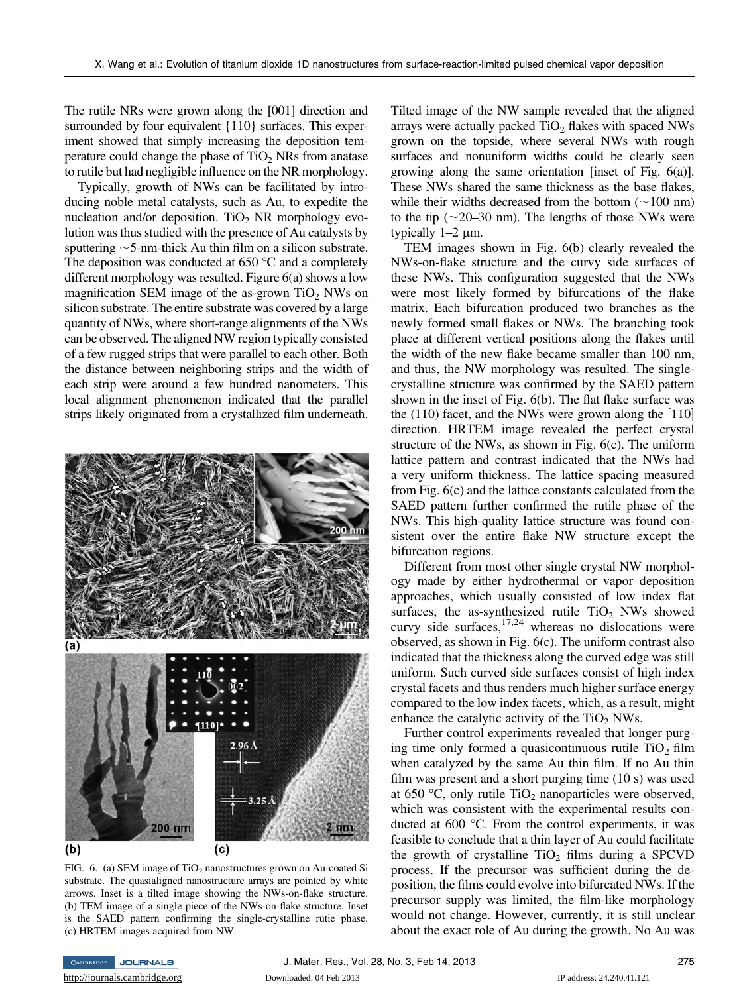The rutile NRs were grown along the [001] direction and surrounded by four equivalent {110} surfaces. This experiment showed that simply increasing the deposition temperature could change the phase of  $TiO<sub>2</sub>$  NRs from anatase to rutile but had negligible influence on the NR morphology.

Typically, growth of NWs can be facilitated by introducing noble metal catalysts, such as Au, to expedite the nucleation and/or deposition. TiO<sub>2</sub> NR morphology evolution was thus studied with the presence of Au catalysts by sputtering  $\sim$  5-nm-thick Au thin film on a silicon substrate. The deposition was conducted at  $650^{\circ}$ C and a completely different morphology was resulted. Figure 6(a) shows a low magnification SEM image of the as-grown  $TiO<sub>2</sub>$  NWs on silicon substrate. The entire substrate was covered by a large quantity of NWs, where short-range alignments of the NWs can be observed. The aligned NW region typically consisted of a few rugged strips that were parallel to each other. Both the distance between neighboring strips and the width of each strip were around a few hundred nanometers. This local alignment phenomenon indicated that the parallel strips likely originated from a crystallized film underneath.



FIG. 6. (a) SEM image of TiO<sub>2</sub> nanostructures grown on Au-coated Si substrate. The quasialigned nanostructure arrays are pointed by white arrows. Inset is a tilted image showing the NWs-on-flake structure. (b) TEM image of a single piece of the NWs-on-flake structure. Inset is the SAED pattern confirming the single-crystalline rutie phase. (c) HRTEM images acquired from NW.

Tilted image of the NW sample revealed that the aligned arrays were actually packed  $TiO<sub>2</sub>$  flakes with spaced NWs grown on the topside, where several NWs with rough surfaces and nonuniform widths could be clearly seen growing along the same orientation [inset of Fig. 6(a)]. These NWs shared the same thickness as the base flakes, while their widths decreased from the bottom  $(\sim 100 \text{ nm})$ to the tip  $(\sim 20-30 \text{ nm})$ . The lengths of those NWs were typically  $1-2 \mu m$ .

TEM images shown in Fig. 6(b) clearly revealed the NWs-on-flake structure and the curvy side surfaces of these NWs. This configuration suggested that the NWs were most likely formed by bifurcations of the flake matrix. Each bifurcation produced two branches as the newly formed small flakes or NWs. The branching took place at different vertical positions along the flakes until the width of the new flake became smaller than 100 nm, and thus, the NW morphology was resulted. The singlecrystalline structure was confirmed by the SAED pattern shown in the inset of Fig. 6(b). The flat flake surface was the (110) facet, and the NWs were grown along the  $[1\bar{1}0]$ direction. HRTEM image revealed the perfect crystal structure of the NWs, as shown in Fig. 6(c). The uniform lattice pattern and contrast indicated that the NWs had a very uniform thickness. The lattice spacing measured from Fig. 6(c) and the lattice constants calculated from the SAED pattern further confirmed the rutile phase of the NWs. This high-quality lattice structure was found consistent over the entire flake–NW structure except the bifurcation regions.

Different from most other single crystal NW morphology made by either hydrothermal or vapor deposition approaches, which usually consisted of low index flat surfaces, the as-synthesized rutile  $TiO<sub>2</sub>$  NWs showed curvy side surfaces, $17,24$  whereas no dislocations were observed, as shown in Fig. 6(c). The uniform contrast also indicated that the thickness along the curved edge was still uniform. Such curved side surfaces consist of high index crystal facets and thus renders much higher surface energy compared to the low index facets, which, as a result, might enhance the catalytic activity of the  $TiO<sub>2</sub> NWs$ .

Further control experiments revealed that longer purging time only formed a quasicontinuous rutile  $TiO<sub>2</sub>$  film when catalyzed by the same Au thin film. If no Au thin film was present and a short purging time (10 s) was used at 650 °C, only rutile  $TiO<sub>2</sub>$  nanoparticles were observed, which was consistent with the experimental results conducted at 600 °C. From the control experiments, it was feasible to conclude that a thin layer of Au could facilitate the growth of crystalline  $TiO<sub>2</sub>$  films during a SPCVD process. If the precursor was sufficient during the deposition, the films could evolve into bifurcated NWs. If the precursor supply was limited, the film-like morphology would not change. However, currently, it is still unclear about the exact role of Au during the growth. No Au was

CAMBRIDGE JOURNALS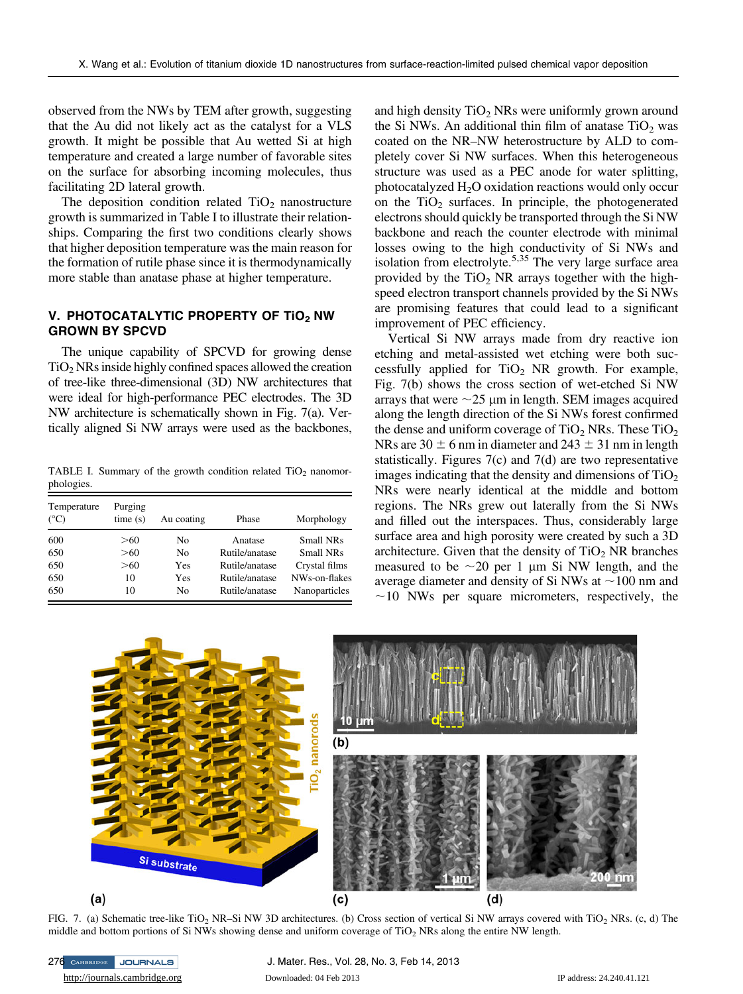observed from the NWs by TEM after growth, suggesting that the Au did not likely act as the catalyst for a VLS growth. It might be possible that Au wetted Si at high temperature and created a large number of favorable sites on the surface for absorbing incoming molecules, thus facilitating 2D lateral growth.

The deposition condition related  $TiO<sub>2</sub>$  nanostructure growth is summarized in Table I to illustrate their relationships. Comparing the first two conditions clearly shows that higher deposition temperature was the main reason for the formation of rutile phase since it is thermodynamically more stable than anatase phase at higher temperature.

### V. PHOTOCATALYTIC PROPERTY OF TIO<sub>2</sub> NW<br>GROWN BY SPCVD GROWN BY SPCVD

The unique capability of SPCVD for growing dense  $TiO<sub>2</sub> NRs$  inside highly confined spaces allowed the creation of tree-like three-dimensional (3D) NW architectures that were ideal for high-performance PEC electrodes. The 3D NW architecture is schematically shown in Fig. 7(a). Vertically aligned Si NW arrays were used as the backbones,

TABLE I. Summary of the growth condition related  $TiO<sub>2</sub>$  nanomorphologies.

| Temperature<br>$(^{\circ}C)$ | Purging<br>time(s) | Au coating | Phase          | Morphology    |
|------------------------------|--------------------|------------|----------------|---------------|
| 600                          | >60                | No         | Anatase        | Small NRs     |
| 650                          | >60                | No.        | Rutile/anatase | Small NRs     |
| 650                          | >60                | Yes        | Rutile/anatase | Crystal films |
| 650                          | 10                 | Yes        | Rutile/anatase | NWs-on-flakes |
| 650                          | 10                 | No         | Rutile/anatase | Nanoparticles |

and high density  $TiO<sub>2</sub>$  NRs were uniformly grown around the Si NWs. An additional thin film of anatase  $TiO<sub>2</sub>$  was coated on the NR–NW heterostructure by ALD to completely cover Si NW surfaces. When this heterogeneous structure was used as a PEC anode for water splitting, photocatalyzed  $H_2O$  oxidation reactions would only occur on the  $TiO<sub>2</sub>$  surfaces. In principle, the photogenerated electrons should quickly be transported through the Si NW backbone and reach the counter electrode with minimal losses owing to the high conductivity of Si NWs and isolation from electrolyte.<sup>5,35</sup> The very large surface area provided by the  $TiO<sub>2</sub> NR$  arrays together with the highspeed electron transport channels provided by the Si NWs are promising features that could lead to a significant improvement of PEC efficiency.

Vertical Si NW arrays made from dry reactive ion etching and metal-assisted wet etching were both successfully applied for  $TiO<sub>2</sub> NR$  growth. For example, Fig. 7(b) shows the cross section of wet-etched Si NW arrays that were  $\sim$ 25 µm in length. SEM images acquired along the length direction of the Si NWs forest confirmed the dense and uniform coverage of  $TiO<sub>2</sub>$  NRs. These  $TiO<sub>2</sub>$ NRs are  $30 \pm 6$  nm in diameter and  $243 \pm 31$  nm in length statistically. Figures 7(c) and 7(d) are two representative images indicating that the density and dimensions of  $TiO<sub>2</sub>$ NRs were nearly identical at the middle and bottom regions. The NRs grew out laterally from the Si NWs and filled out the interspaces. Thus, considerably large surface area and high porosity were created by such a 3D architecture. Given that the density of  $TiO<sub>2</sub> NR$  branches measured to be  $\sim$ 20 per 1 µm Si NW length, and the average diameter and density of Si NWs at  $\sim$ 100 nm and  $\sim$ 10 NWs per square micrometers, respectively, the



FIG. 7. (a) Schematic tree-like TiO<sub>2</sub> NR–Si NW 3D architectures. (b) Cross section of vertical Si NW arrays covered with TiO<sub>2</sub> NRs. (c, d) The middle and bottom portions of Si NWs showing dense and uniform coverage of TiO<sub>2</sub> NRs along the entire NW length.

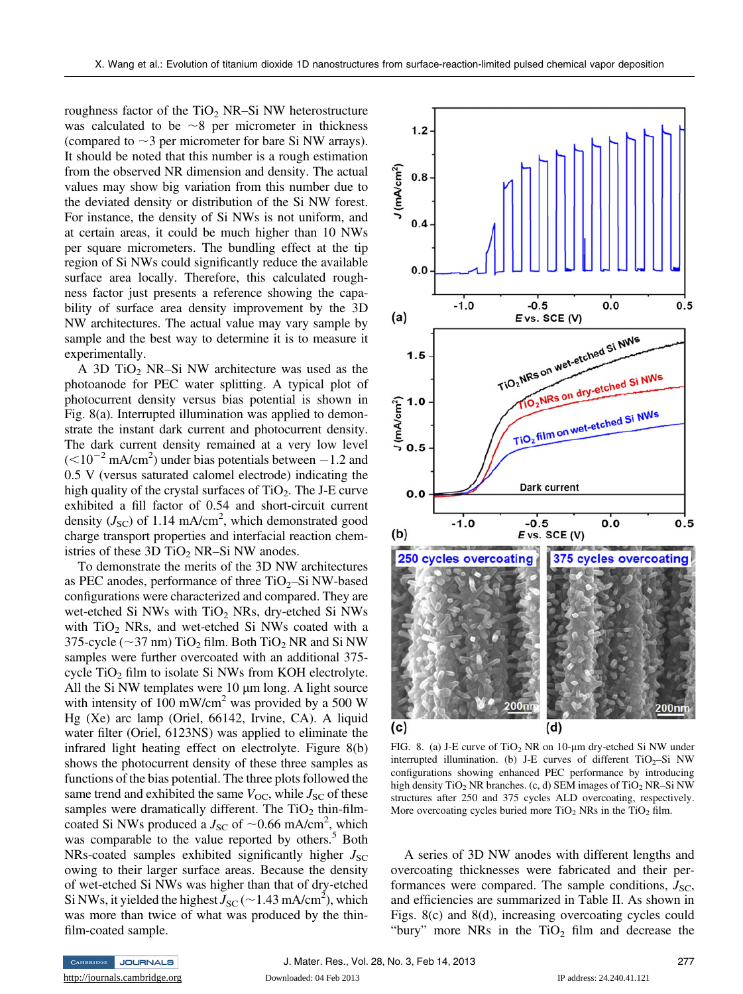roughness factor of the  $TiO<sub>2</sub>$  NR–Si NW heterostructure was calculated to be  $\sim$ 8 per micrometer in thickness (compared to  $\sim$ 3 per micrometer for bare Si NW arrays). It should be noted that this number is a rough estimation from the observed NR dimension and density. The actual values may show big variation from this number due to the deviated density or distribution of the Si NW forest. For instance, the density of Si NWs is not uniform, and at certain areas, it could be much higher than 10 NWs per square micrometers. The bundling effect at the tip region of Si NWs could significantly reduce the available surface area locally. Therefore, this calculated roughness factor just presents a reference showing the capability of surface area density improvement by the 3D NW architectures. The actual value may vary sample by sample and the best way to determine it is to measure it experimentally.

A 3D  $TiO<sub>2</sub>$  NR–Si NW architecture was used as the photoanode for PEC water splitting. A typical plot of photocurrent density versus bias potential is shown in Fig. 8(a). Interrupted illumination was applied to demonstrate the instant dark current and photocurrent density. The dark current density remained at a very low level  $\approx (0.10^{-2} \text{ mA/cm}^2)$  under bias potentials between  $-1.2$  and 0.5 V (versus saturated calomel electrode) indicating the high quality of the crystal surfaces of  $TiO<sub>2</sub>$ . The J-E curve exhibited a fill factor of 0.54 and short-circuit current density  $(J_{\text{SC}})$  of 1.14 mA/cm<sup>2</sup>, which demonstrated good charge transport properties and interfacial reaction chemistries of these  $3D TiO<sub>2</sub> NR-Si NW$  anodes.

To demonstrate the merits of the 3D NW architectures as PEC anodes, performance of three  $TiO<sub>2</sub>$ –Si NW-based configurations were characterized and compared. They are wet-etched Si NWs with  $TiO<sub>2</sub>$  NRs, dry-etched Si NWs with  $TiO<sub>2</sub>$  NRs, and wet-etched Si NWs coated with a 375-cycle ( $\sim$ 37 nm) TiO<sub>2</sub> film. Both TiO<sub>2</sub> NR and Si NW samples were further overcoated with an additional 375 cycle  $TiO<sub>2</sub>$  film to isolate Si NWs from KOH electrolyte. All the Si NW templates were  $10 \mu m$  long. A light source with intensity of 100 mW/cm<sup>2</sup> was provided by a 500 W Hg (Xe) arc lamp (Oriel, 66142, Irvine, CA). A liquid water filter (Oriel, 6123NS) was applied to eliminate the infrared light heating effect on electrolyte. Figure 8(b) shows the photocurrent density of these three samples as functions of the bias potential. The three plots followed the same trend and exhibited the same  $V_{\text{OC}}$ , while  $J_{\text{SC}}$  of these samples were dramatically different. The  $TiO<sub>2</sub>$  thin-filmcoated Si NWs produced a  $J_{\rm SC}$  of  $\sim$ 0.66 mA/cm<sup>2</sup>, which was comparable to the value reported by others.<sup>5</sup> Both NRs-coated samples exhibited significantly higher  $J_{SC}$ owing to their larger surface areas. Because the density of wet-etched Si NWs was higher than that of dry-etched Si NWs, it yielded the highest  $J_{\rm SC}$  (  $\sim$  1.43 mA/cm<sup>2</sup>), which was more than twice of what was produced by the thinfilm-coated sample.



FIG. 8. (a) J-E curve of  $TiO<sub>2</sub> NR$  on 10-um dry-etched Si NW under interrupted illumination. (b) J-E curves of different  $TiO<sub>2</sub>-Si$  NW configurations showing enhanced PEC performance by introducing high density  $TiO<sub>2</sub> NR$  branches. (c, d) SEM images of  $TiO<sub>2</sub> NR-Si NW$ structures after 250 and 375 cycles ALD overcoating, respectively. More overcoating cycles buried more  $TiO<sub>2</sub>$  NRs in the  $TiO<sub>2</sub>$  film.

A series of 3D NW anodes with different lengths and overcoating thicknesses were fabricated and their performances were compared. The sample conditions,  $J_{SC}$ , and efficiencies are summarized in Table II. As shown in Figs. 8(c) and 8(d), increasing overcoating cycles could "bury" more NRs in the  $TiO<sub>2</sub>$  film and decrease the

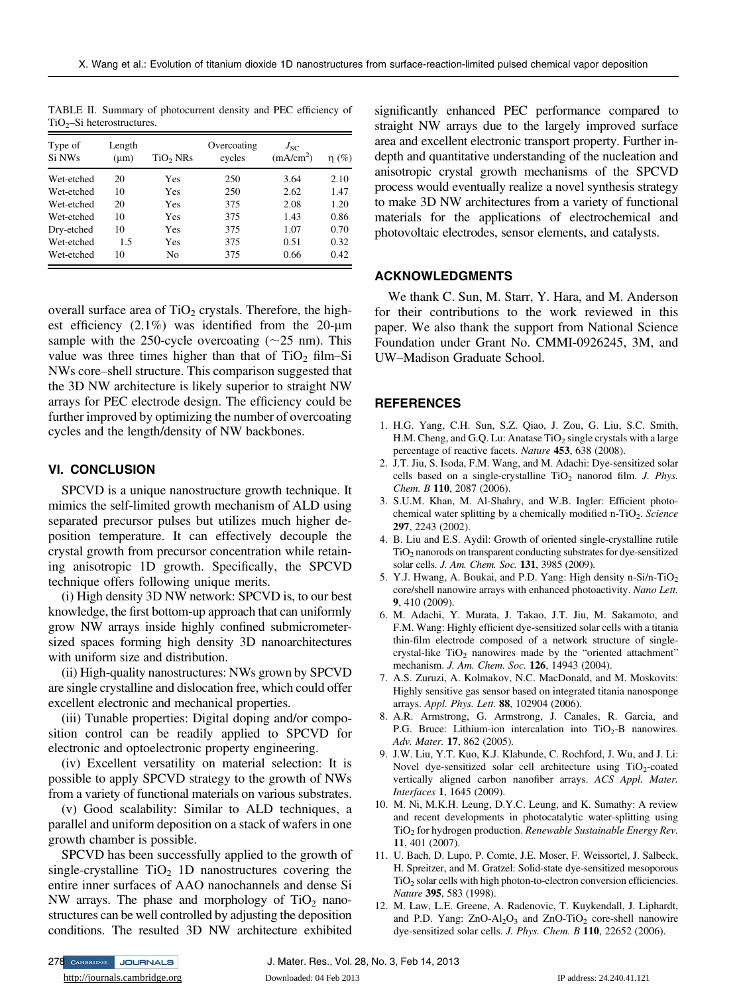TABLE II. Summary of photocurrent density and PEC efficiency of  $TiO<sub>2</sub>$ –Si heterostructures.

| Type of<br>Si NWs | Length<br>$(\mu m)$ | TiO2 NRs | Overcoating<br>cycles | $J_{SC}$<br>(mA/cm <sup>2</sup> ) | $\eta(\%)$ |
|-------------------|---------------------|----------|-----------------------|-----------------------------------|------------|
| Wet-etched        | 20                  | Yes      | 250                   | 3.64                              | 2.10       |
| Wet-etched        | 10                  | Yes      | 250                   | 2.62                              | 1.47       |
| Wet-etched        | 20                  | Yes      | 375                   | 2.08                              | 1.20       |
| Wet-etched        | 10                  | Yes      | 375                   | 1.43                              | 0.86       |
| Dry-etched        | 10                  | Yes      | 375                   | 1.07                              | 0.70       |
| Wet-etched        | 1.5                 | Yes      | 375                   | 0.51                              | 0.32       |
| Wet-etched        | 10                  | No       | 375                   | 0.66                              | 0.42       |

overall surface area of  $TiO<sub>2</sub>$  crystals. Therefore, the highest efficiency  $(2.1\%)$  was identified from the 20-um sample with the 250-cycle overcoating  $(\sim 25 \text{ nm})$ . This value was three times higher than that of  $TiO<sub>2</sub>$  film–Si NWs core–shell structure. This comparison suggested that the 3D NW architecture is likely superior to straight NW arrays for PEC electrode design. The efficiency could be further improved by optimizing the number of overcoating cycles and the length/density of NW backbones.

## VI. CONCLUSION

SPCVD is a unique nanostructure growth technique. It mimics the self-limited growth mechanism of ALD using separated precursor pulses but utilizes much higher deposition temperature. It can effectively decouple the crystal growth from precursor concentration while retaining anisotropic 1D growth. Specifically, the SPCVD technique offers following unique merits.

(i) High density 3D NW network: SPCVD is, to our best knowledge, the first bottom-up approach that can uniformly grow NW arrays inside highly confined submicrometersized spaces forming high density 3D nanoarchitectures with uniform size and distribution.

(ii) High-quality nanostructures: NWs grown by SPCVD are single crystalline and dislocation free, which could offer excellent electronic and mechanical properties.

(iii) Tunable properties: Digital doping and/or composition control can be readily applied to SPCVD for electronic and optoelectronic property engineering.

(iv) Excellent versatility on material selection: It is possible to apply SPCVD strategy to the growth of NWs from a variety of functional materials on various substrates.

(v) Good scalability: Similar to ALD techniques, a parallel and uniform deposition on a stack of wafers in one growth chamber is possible.

SPCVD has been successfully applied to the growth of single-crystalline  $TiO<sub>2</sub>$  1D nanostructures covering the entire inner surfaces of AAO nanochannels and dense Si NW arrays. The phase and morphology of  $TiO<sub>2</sub>$  nanostructures can be well controlled by adjusting the deposition conditions. The resulted 3D NW architecture exhibited

significantly enhanced PEC performance compared to straight NW arrays due to the largely improved surface area and excellent electronic transport property. Further indepth and quantitative understanding of the nucleation and anisotropic crystal growth mechanisms of the SPCVD process would eventually realize a novel synthesis strategy to make 3D NW architectures from a variety of functional materials for the applications of electrochemical and photovoltaic electrodes, sensor elements, and catalysts.

#### **ACKNOWLEDGMENTS** ACKNOWLEDGMENTS

We thank C. Sun, M. Starr, Y. Hara, and M. Anderson for their contributions to the work reviewed in this paper. We also thank the support from National Science Foundation under Grant No. CMMI-0926245, 3M, and UW–Madison Graduate School.

### REFERENCES

- 1. H.G. Yang, C.H. Sun, S.Z. Qiao, J. Zou, G. Liu, S.C. Smith, H.M. Cheng, and G.Q. Lu: Anatase  $TiO<sub>2</sub>$  single crystals with a large percentage of reactive facets. Nature 453, 638 (2008).
- 2. J.T. Jiu, S. Isoda, F.M. Wang, and M. Adachi: Dye-sensitized solar cells based on a single-crystalline  $TiO<sub>2</sub>$  nanorod film. J. Phys. Chem. B 110, 2087 (2006).
- 3. S.U.M. Khan, M. Al-Shahry, and W.B. Ingler: Efficient photochemical water splitting by a chemically modified n-TiO<sub>2</sub>. Science 297, 2243 (2002).
- 4. B. Liu and E.S. Aydil: Growth of oriented single-crystalline rutile TiO2 nanorods on transparent conducting substrates for dye-sensitized solar cells. J. Am. Chem. Soc. 131, 3985 (2009).
- 5. Y.J. Hwang, A. Boukai, and P.D. Yang: High density n-Si/n-TiO<sub>2</sub> core/shell nanowire arrays with enhanced photoactivity. Nano Lett. 9, 410 (2009).
- 6. M. Adachi, Y. Murata, J. Takao, J.T. Jiu, M. Sakamoto, and F.M. Wang: Highly efficient dye-sensitized solar cells with a titania thin-film electrode composed of a network structure of singlecrystal-like  $TiO<sub>2</sub>$  nanowires made by the "oriented attachment" mechanism. J. Am. Chem. Soc. 126, 14943 (2004).
- 7. A.S. Zuruzi, A. Kolmakov, N.C. MacDonald, and M. Moskovits: Highly sensitive gas sensor based on integrated titania nanosponge arrays. Appl. Phys. Lett. 88, 102904 (2006).
- 8. A.R. Armstrong, G. Armstrong, J. Canales, R. Garcia, and P.G. Bruce: Lithium-ion intercalation into  $TiO<sub>2</sub>-B$  nanowires. Adv. Mater. 17, 862 (2005).
- 9. J.W. Liu, Y.T. Kuo, K.J. Klabunde, C. Rochford, J. Wu, and J. Li: Novel dye-sensitized solar cell architecture using  $TiO<sub>2</sub>$ -coated vertically aligned carbon nanofiber arrays. ACS Appl. Mater. Interfaces 1, 1645 (2009).
- 10. M. Ni, M.K.H. Leung, D.Y.C. Leung, and K. Sumathy: A review and recent developments in photocatalytic water-splitting using TiO<sub>2</sub> for hydrogen production. Renewable Sustainable Energy Rev. 11, 401 (2007).
- 11. U. Bach, D. Lupo, P. Comte, J.E. Moser, F. Weissortel, J. Salbeck, H. Spreitzer, and M. Gratzel: Solid-state dye-sensitized mesoporous TiO2 solar cells with high photon-to-electron conversion efficiencies. Nature 395, 583 (1998).
- 12. M. Law, L.E. Greene, A. Radenovic, T. Kuykendall, J. Liphardt, and P.D. Yang:  $ZnO-Al<sub>2</sub>O<sub>3</sub>$  and  $ZnO-TiO<sub>2</sub>$  core-shell nanowire dye-sensitized solar cells. J. Phys. Chem. B 110, 22652 (2006).